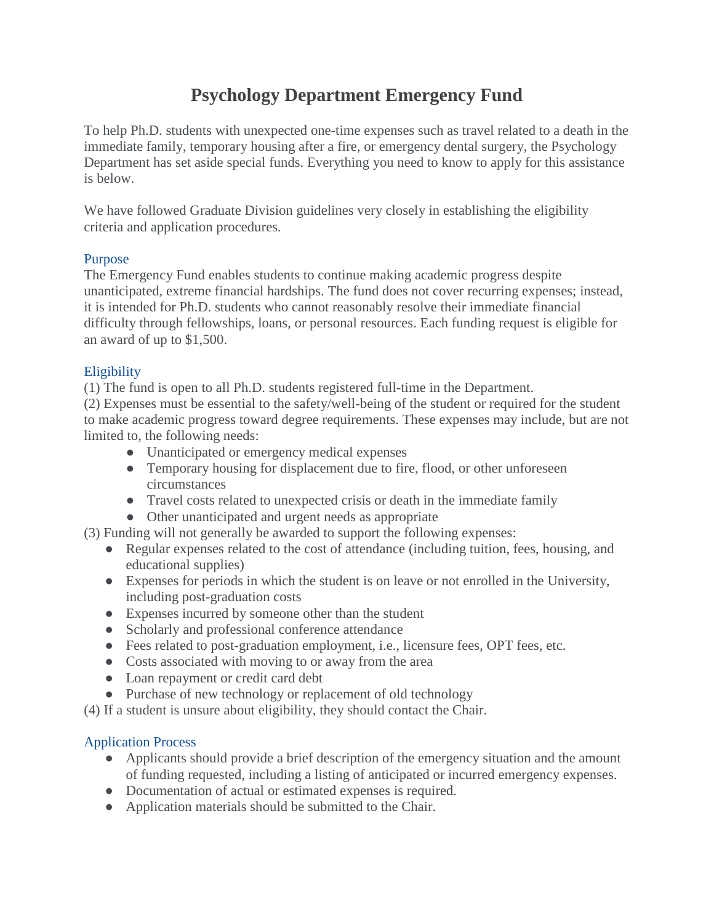# **Psychology Department Emergency Fund**

To help Ph.D. students with unexpected one-time expenses such as travel related to a death in the immediate family, temporary housing after a fire, or emergency dental surgery, the Psychology Department has set aside special funds. Everything you need to know to apply for this assistance is below.

We have followed Graduate Division guidelines very closely in establishing the eligibility criteria and application procedures.

### Purpose

The Emergency Fund enables students to continue making academic progress despite unanticipated, extreme financial hardships. The fund does not cover recurring expenses; instead, it is intended for Ph.D. students who cannot reasonably resolve their immediate financial difficulty through fellowships, loans, or personal resources. Each funding request is eligible for an award of up to \$1,500.

## **Eligibility**

(1) The fund is open to all Ph.D. students registered full-time in the Department.

(2) Expenses must be essential to the safety/well-being of the student or required for the student to make academic progress toward degree requirements. These expenses may include, but are not limited to, the following needs:

- Unanticipated or emergency medical expenses
- Temporary housing for displacement due to fire, flood, or other unforeseen circumstances
- Travel costs related to unexpected crisis or death in the immediate family
- Other unanticipated and urgent needs as appropriate
- (3) Funding will not generally be awarded to support the following expenses:
	- Regular expenses related to the cost of attendance (including tuition, fees, housing, and educational supplies)
	- Expenses for periods in which the student is on leave or not enrolled in the University, including post-graduation costs
	- Expenses incurred by someone other than the student
	- Scholarly and professional conference attendance
	- Fees related to post-graduation employment, i.e., licensure fees, OPT fees, etc.
	- Costs associated with moving to or away from the area
	- Loan repayment or credit card debt
	- Purchase of new technology or replacement of old technology

(4) If a student is unsure about eligibility, they should contact the Chair.

## Application Process

- Applicants should provide a brief description of the emergency situation and the amount of funding requested, including a listing of anticipated or incurred emergency expenses.
- Documentation of actual or estimated expenses is required.
- Application materials should be submitted to the Chair.